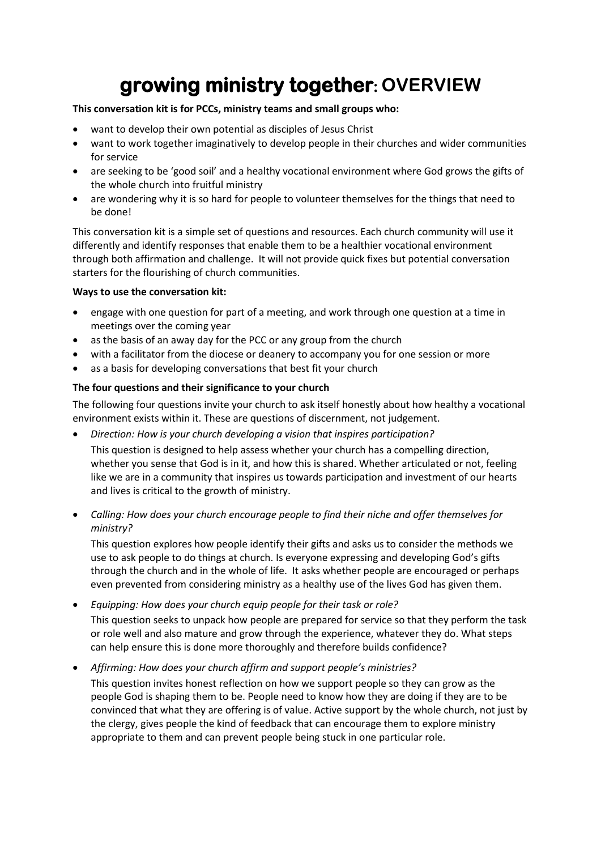# **growing ministry together: OVERVIEW**

### **This conversation kit is for PCCs, ministry teams and small groups who:**

- want to develop their own potential as disciples of Jesus Christ
- want to work together imaginatively to develop people in their churches and wider communities for service
- are seeking to be 'good soil' and a healthy vocational environment where God grows the gifts of the whole church into fruitful ministry
- are wondering why it is so hard for people to volunteer themselves for the things that need to be done!

This conversation kit is a simple set of questions and resources. Each church community will use it differently and identify responses that enable them to be a healthier vocational environment through both affirmation and challenge. It will not provide quick fixes but potential conversation starters for the flourishing of church communities.

# **Ways to use the conversation kit:**

- engage with one question for part of a meeting, and work through one question at a time in meetings over the coming year
- as the basis of an away day for the PCC or any group from the church
- with a facilitator from the diocese or deanery to accompany you for one session or more
- as a basis for developing conversations that best fit your church

# **The four questions and their significance to your church**

The following four questions invite your church to ask itself honestly about how healthy a vocational environment exists within it. These are questions of discernment, not judgement.

• *Direction: How is your church developing a vision that inspires participation?* 

This question is designed to help assess whether your church has a compelling direction, whether you sense that God is in it, and how this is shared. Whether articulated or not, feeling like we are in a community that inspires us towards participation and investment of our hearts and lives is critical to the growth of ministry.

• *Calling: How does your church encourage people to find their niche and offer themselves for ministry?* 

This question explores how people identify their gifts and asks us to consider the methods we use to ask people to do things at church. Is everyone expressing and developing God's gifts through the church and in the whole of life. It asks whether people are encouraged or perhaps even prevented from considering ministry as a healthy use of the lives God has given them.

- *Equipping: How does your church equip people for their task or role?*  This question seeks to unpack how people are prepared for service so that they perform the task or role well and also mature and grow through the experience, whatever they do. What steps can help ensure this is done more thoroughly and therefore builds confidence?
- *Affirming: How does your church affirm and support people's ministries?*  This question invites honest reflection on how we support people so they can grow as the people God is shaping them to be. People need to know how they are doing if they are to be convinced that what they are offering is of value. Active support by the whole church, not just by the clergy, gives people the kind of feedback that can encourage them to explore ministry appropriate to them and can prevent people being stuck in one particular role.